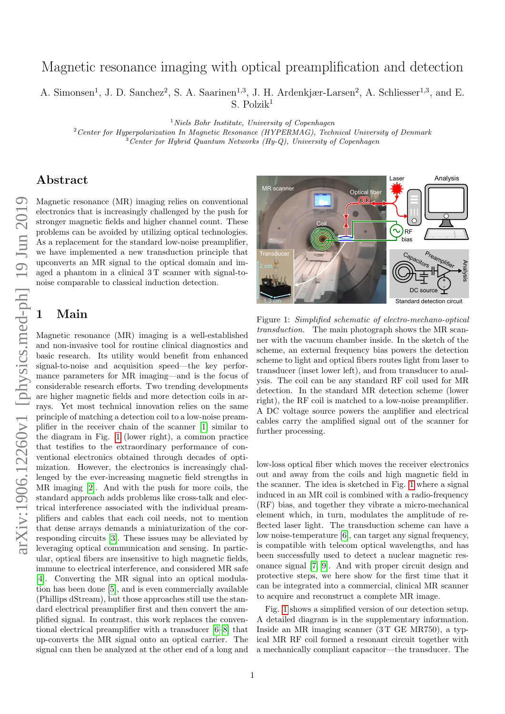# Magnetic resonance imaging with optical preamplification and detection

A. Simonsen<sup>1</sup>, J. D. Sanchez<sup>2</sup>, S. A. Saarinen<sup>1,3</sup>, J. H. Ardenkjær-Larsen<sup>2</sup>, A. Schliesser<sup>1,3</sup>, and E. S. Polzik<sup>1</sup>

 $1$  Niels Bohr Institute, University of Copenhagen  $2$ Center for Hyperpolarization In Magnetic Resonance (HYPERMAG), Technical University of Denmark

 $\overline{3}$  Center for Hybrid Quantum Networks (Hy-Q), University of Copenhagen

### Abstract

Magnetic resonance (MR) imaging relies on conventional electronics that is increasingly challenged by the push for stronger magnetic fields and higher channel count. These problems can be avoided by utilizing optical technologies. As a replacement for the standard low-noise preamplifier, we have implemented a new transduction principle that upconverts an MR signal to the optical domain and imaged a phantom in a clinical 3T scanner with signal-tonoise comparable to classical induction detection.

## Main

Magnetic resonance (MR) imaging is a well-established and non-invasive tool for routine clinical diagnostics and basic research. Its utility would benefit from enhanced signal-to-noise and acquisition speed—the key performance parameters for MR imaging—and is the focus of considerable research efforts. Two trending developments are higher magnetic fields and more detection coils in arrays. Yet most technical innovation relies on the same principle of matching a detection coil to a low-noise preamplifier in the receiver chain of the scanner [\[1\]](#page-2-0) similar to the diagram in Fig. [1](#page-0-0) (lower right), a common practice that testifies to the extraordinary performance of conventional electronics obtained through decades of optimization. However, the electronics is increasingly challenged by the ever-increasing magnetic field strengths in MR imaging [\[2\]](#page-2-1). And with the push for more coils, the standard approach adds problems like cross-talk and electrical interference associated with the individual preamplifiers and cables that each coil needs, not to mention that dense arrays demands a miniaturization of the corresponding circuits [\[3\]](#page-2-2). These issues may be alleviated by leveraging optical communication and sensing. In particular, optical fibers are insensitive to high magnetic fields, immune to electrical interference, and considered MR safe [\[4\]](#page-2-3). Converting the MR signal into an optical modulation has been done [\[5\]](#page-2-4), and is even commercially available (Phillips dStream), but those approaches still use the standard electrical preamplifier first and then convert the amplified signal. In contrast, this work replaces the conventional electrical preamplifier with a transducer [\[6–](#page-2-5)[8\]](#page-4-0) that up-converts the MR signal onto an optical carrier. The signal can then be analyzed at the other end of a long and



<span id="page-0-0"></span>Figure 1: Simplified schematic of electro-mechano-optical transduction. The main photograph shows the MR scanner with the vacuum chamber inside. In the sketch of the scheme, an external frequency bias powers the detection scheme to light and optical fibers routes light from laser to transducer (inset lower left), and from transducer to analysis. The coil can be any standard RF coil used for MR detection. In the standard MR detection scheme (lower right), the RF coil is matched to a low-noise preamplifier. A DC voltage source powers the amplifier and electrical cables carry the amplified signal out of the scanner for further processing.

low-loss optical fiber which moves the receiver electronics out and away from the coils and high magnetic field in the scanner. The idea is sketched in Fig. [1](#page-0-0) where a signal induced in an MR coil is combined with a radio-frequency (RF) bias, and together they vibrate a micro-mechanical element which, in turn, modulates the amplitude of reflected laser light. The transduction scheme can have a low noise-temperature [\[6\]](#page-2-5), can target any signal frequency, is compatible with telecom optical wavelengths, and has been successfully used to detect a nuclear magnetic resonance signal [\[7,](#page-2-6) [9\]](#page-4-1). And with proper circuit design and protective steps, we here show for the first time that it can be integrated into a commercial, clinical MR scanner to acquire and reconstruct a complete MR image.

Fig. [1](#page-0-0) shows a simplified version of our detection setup. A detailed diagram is in the supplementary information. Inside an MR imaging scanner (3 T GE MR750), a typical MR RF coil formed a resonant circuit together with a mechanically compliant capacitor—the transducer. The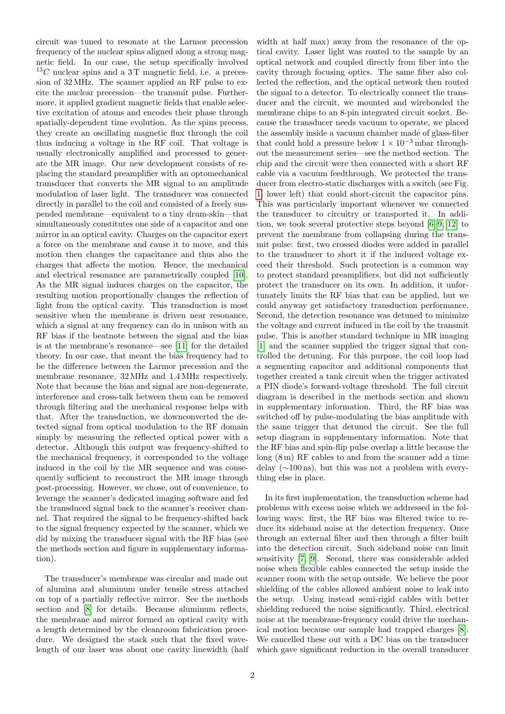circuit was tuned to resonate at the Larmor precession frequency of the nuclear spins aligned along a strong magnetic field. In our case, the setup specifically involved  $^{13}C$  nuclear spins and a 3 T magnetic field, i.e. a precession of 32 MHz. The scanner applied an RF pulse to excite the nuclear precession—the transmit pulse. Furthermore, it applied gradient magnetic fields that enable selective excitation of atoms and encodes their phase through spatially-dependent time evolution. As the spins precess, they create an oscillating magnetic flux through the coil thus inducing a voltage in the RF coil. That voltage is usually electronically amplified and processed to generate the MR image. Our new development consists of replacing the standard preamplifier with an optomechanical transducer that converts the MR signal to an amplitude modulation of laser light. The transducer was connected directly in parallel to the coil and consisted of a freely suspended membrane—equivalent to a tiny drum-skin—that simultaneously constitutes one side of a capacitor and one mirror in an optical cavity. Charges on the capacitor exert a force on the membrane and cause it to move, and this motion then changes the capacitance and thus also the charges that affects the motion. Hence, the mechanical and electrical resonance are parametrically coupled [\[10\]](#page-4-2). As the MR signal induces charges on the capacitor, the resulting motion proportionally changes the reflection of light from the optical cavity. This transduction is most sensitive when the membrane is driven near resonance, which a signal at any frequency can do in unison with an RF bias if the beatnote between the signal and the bias is at the membrane's resonance—see [\[11\]](#page-4-3) for the detailed theory. In our case, that meant the bias frequency had to be the difference between the Larmor precession and the membrane resonance, 32 MHz and 1.4 MHz respectively. Note that because the bias and signal are non-degenerate, interference and cross-talk between them can be removed through filtering and the mechanical response helps with that. After the transduction, we downconverted the detected signal from optical modulation to the RF domain simply by measuring the reflected optical power with a detector. Although this output was frequency-shifted to the mechanical frequency, it corresponded to the voltage induced in the coil by the MR sequence and was consequently sufficient to reconstruct the MR image through post-processing. However, we chose, out of convenience, to leverage the scanner's dedicated imaging software and fed the transduced signal back to the scanner's receiver channel. That required the signal to be frequency-shifted back to the signal frequency expected by the scanner, which we did by mixing the transducer signal with the RF bias (see the methods section and figure in supplementary information).

The transducer's membrane was circular and made out of alumina and aluminum under tensile stress attached on top of a partially reflective mirror. See the methods section and [\[8\]](#page-4-0) for details. Because aluminum reflects, the membrane and mirror formed an optical cavity with a length determined by the cleanroom fabrication procedure. We designed the stack such that the fixed wavelength of our laser was about one cavity linewidth (half width at half max) away from the resonance of the optical cavity. Laser light was routed to the sample by an optical network and coupled directly from fiber into the cavity through focusing optics. The same fiber also collected the reflection, and the optical network then routed the signal to a detector. To electrically connect the transducer and the circuit, we mounted and wirebonded the membrane chips to an 8-pin integrated circuit socket. Because the transducer needs vacuum to operate, we placed the assembly inside a vacuum chamber made of glass-fiber that could hold a pressure below  $1 \times 10^{-3}$  mbar throughout the measurement series—see the method section. The chip and the circuit were then connected with a short RF cable via a vacuum feedthrough. We protected the transducer from electro-static discharges with a switch (see Fig. [1,](#page-0-0) lower left) that could short-circuit the capacitor pins. This was particularly important whenever we connected the transducer to circuitry or transported it. In addition, we took several protective steps beyond [\[6](#page-2-5)[–9,](#page-4-1) [12\]](#page-4-4) to prevent the membrane from collapsing during the transmit pulse: first, two crossed diodes were added in parallel to the transducer to short it if the induced voltage exceed their threshold. Such protection is a common way to protect standard preamplifiers, but did not sufficiently protect the transducer on its own. In addition, it unfortunately limits the RF bias that can be applied, but we could anyway get satisfactory transduction performance. Second, the detection resonance was detuned to minimize the voltage and current induced in the coil by the transmit pulse. This is another standard technique in MR imaging [\[1\]](#page-2-0) and the scanner supplied the trigger signal that controlled the detuning. For this purpose, the coil loop had a segmenting capacitor and additional components that together created a tank circuit when the trigger activated a PIN diode's forward-voltage threshold. The full circuit diagram is described in the methods section and shown in supplementary information. Third, the RF bias was switched off by pulse-modulating the bias amplitude with the same trigger that detuned the circuit. See the full setup diagram in supplementary information. Note that the RF bias and spin-flip pulse overlap a little because the long (8 m) RF cables to and from the scanner add a time delay (∼100 ns), but this was not a problem with everything else in place.

In its first implementation, the transduction scheme had problems with excess noise which we addressed in the following ways: first, the RF bias was filtered twice to reduce its sideband noise at the detection frequency. Once through an external filter and then through a filter built into the detection circuit. Such sideband noise can limit sensitivity [\[7,](#page-2-6) [9\]](#page-4-1). Second, there was considerable added noise when flexible cables connected the setup inside the scanner room with the setup outside. We believe the poor shielding of the cables allowed ambient noise to leak into the setup. Using instead semi-rigid cables with better shielding reduced the noise significantly. Third, electrical noise at the membrane-frequency could drive the mechanical motion because our sample had trapped charges [\[8\]](#page-4-0). We cancelled these out with a DC bias on the transducer which gave significant reduction in the overall transducer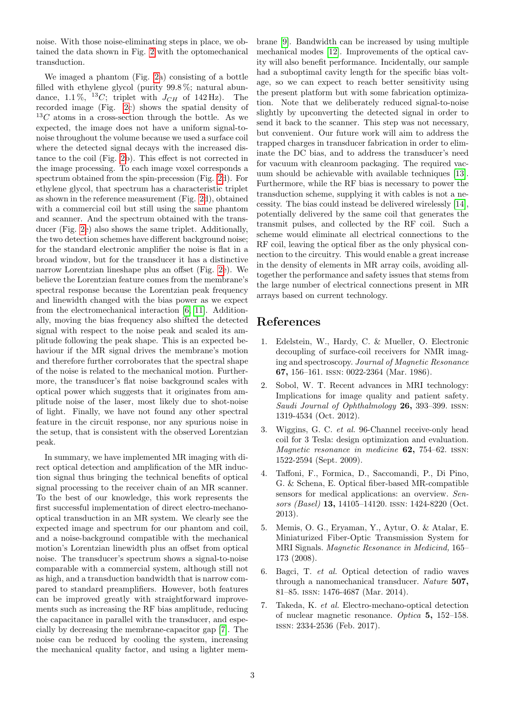noise. With those noise-eliminating steps in place, we obtained the data shown in Fig. [2](#page-3-0) with the optomechanical transduction.

We imaged a phantom (Fig. [2a](#page-3-0)) consisting of a bottle filled with ethylene glycol (purity 99.8 %; natural abundance, 1.1%, <sup>13</sup>C; triplet with  $J_{CH}$  of 142 Hz). The recorded image (Fig. [2c](#page-3-0)) shows the spatial density of  $13C$  atoms in a cross-section through the bottle. As we expected, the image does not have a uniform signal-tonoise throughout the volume because we used a surface coil where the detected signal decays with the increased distance to the coil (Fig. [2b](#page-3-0)). This effect is not corrected in the image processing. To each image voxel corresponds a spectrum obtained from the spin-precession (Fig. [2d](#page-3-0)). For ethylene glycol, that spectrum has a characteristic triplet as shown in the reference measurement (Fig. [2d](#page-3-0)), obtained with a commercial coil but still using the same phantom and scanner. And the spectrum obtained with the transducer (Fig. [2e](#page-3-0)) also shows the same triplet. Additionally, the two detection schemes have different background noise; for the standard electronic amplifier the noise is flat in a broad window, but for the transducer it has a distinctive narrow Lorentzian lineshape plus an offset (Fig. [2e](#page-3-0)). We believe the Lorentzian feature comes from the membrane's spectral response because the Lorentzian peak frequency and linewidth changed with the bias power as we expect from the electromechanical interaction [\[6,](#page-2-5) [11\]](#page-4-3). Additionally, moving the bias frequency also shifted the detected signal with respect to the noise peak and scaled its amplitude following the peak shape. This is an expected behaviour if the MR signal drives the membrane's motion and therefore further corroborates that the spectral shape of the noise is related to the mechanical motion. Furthermore, the transducer's flat noise background scales with optical power which suggests that it originates from amplitude noise of the laser, most likely due to shot-noise of light. Finally, we have not found any other spectral feature in the circuit response, nor any spurious noise in the setup, that is consistent with the observed Lorentzian peak.

In summary, we have implemented MR imaging with direct optical detection and amplification of the MR induction signal thus bringing the technical benefits of optical signal processing to the receiver chain of an MR scanner. To the best of our knowledge, this work represents the first successful implementation of direct electro-mechanooptical transduction in an MR system. We clearly see the expected image and spectrum for our phantom and coil, and a noise-background compatible with the mechanical motion's Lorentzian linewidth plus an offset from optical noise. The transducer's spectrum shows a signal-to-noise comparable with a commercial system, although still not as high, and a transduction bandwidth that is narrow compared to standard preamplifiers. However, both features can be improved greatly with straightforward improvements such as increasing the RF bias amplitude, reducing the capacitance in parallel with the transducer, and especially by decreasing the membrane-capacitor gap [\[7\]](#page-2-6). The noise can be reduced by cooling the system, increasing the mechanical quality factor, and using a lighter membrane [\[9\]](#page-4-1). Bandwidth can be increased by using multiple mechanical modes [\[12\]](#page-4-4). Improvements of the optical cavity will also benefit performance. Incidentally, our sample had a suboptimal cavity length for the specific bias voltage, so we can expect to reach better sensitivity using the present platform but with some fabrication optimization. Note that we deliberately reduced signal-to-noise slightly by upconverting the detected signal in order to send it back to the scanner. This step was not necessary, but convenient. Our future work will aim to address the trapped charges in transducer fabrication in order to eliminate the DC bias, and to address the transducer's need for vacuum with cleanroom packaging. The required vacuum should be achievable with available techniques [\[13\]](#page-4-5). Furthermore, while the RF bias is necessary to power the transduction scheme, supplying it with cables is not a necessity. The bias could instead be delivered wirelessly [\[14\]](#page-4-6), potentially delivered by the same coil that generates the transmit pulses, and collected by the RF coil. Such a scheme would eliminate all electrical connections to the RF coil, leaving the optical fiber as the only physical connection to the circuitry. This would enable a great increase in the density of elements in MR array coils, avoiding alltogether the performance and safety issues that stems from the large number of electrical connections present in MR arrays based on current technology.

## References

- <span id="page-2-0"></span>1. Edelstein, W., Hardy, C. & Mueller, O. Electronic decoupling of surface-coil receivers for NMR imaging and spectroscopy. Journal of Magnetic Resonance 67, 156–161. issn: 0022-2364 (Mar. 1986).
- <span id="page-2-1"></span>2. Sobol, W. T. Recent advances in MRI technology: Implications for image quality and patient safety. Saudi Journal of Ophthalmology 26, 393–399. issn: 1319-4534 (Oct. 2012).
- <span id="page-2-2"></span>3. Wiggins, G. C. et al. 96-Channel receive-only head coil for 3 Tesla: design optimization and evaluation. Magnetic resonance in medicine **62**, 754–62. ISSN: 1522-2594 (Sept. 2009).
- <span id="page-2-3"></span>4. Taffoni, F., Formica, D., Saccomandi, P., Di Pino, G. & Schena, E. Optical fiber-based MR-compatible sensors for medical applications: an overview. Sensors (Basel) 13, 14105–14120. issn: 1424-8220 (Oct. 2013).
- <span id="page-2-4"></span>5. Memis, O. G., Eryaman, Y., Aytur, O. & Atalar, E. Miniaturized Fiber-Optic Transmission System for MRI Signals. Magnetic Resonance in Medicind, 165– 173 (2008).
- <span id="page-2-5"></span>6. Bagci, T. et al. Optical detection of radio waves through a nanomechanical transducer. Nature 507, 81–85. issn: 1476-4687 (Mar. 2014).
- <span id="page-2-6"></span>7. Takeda, K. et al. Electro-mechano-optical detection of nuclear magnetic resonance. Optica 5, 152–158. issn: 2334-2536 (Feb. 2017).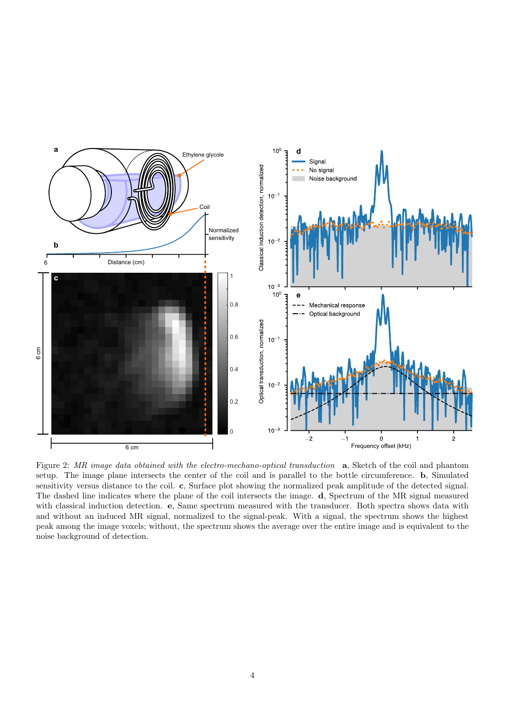

<span id="page-3-0"></span>Figure 2: MR image data obtained with the electro-mechano-optical transduction a, Sketch of the coil and phantom setup. The image plane intersects the center of the coil and is parallel to the bottle circumference. b, Simulated sensitivity versus distance to the coil. c, Surface plot showing the normalized peak amplitude of the detected signal. The dashed line indicates where the plane of the coil intersects the image. d, Spectrum of the MR signal measured with classical induction detection. e, Same spectrum measured with the transducer. Both spectra shows data with and without an induced MR signal, normalized to the signal-peak. With a signal, the spectrum shows the highest peak among the image voxels; without, the spectrum shows the average over the entire image and is equivalent to the noise background of detection.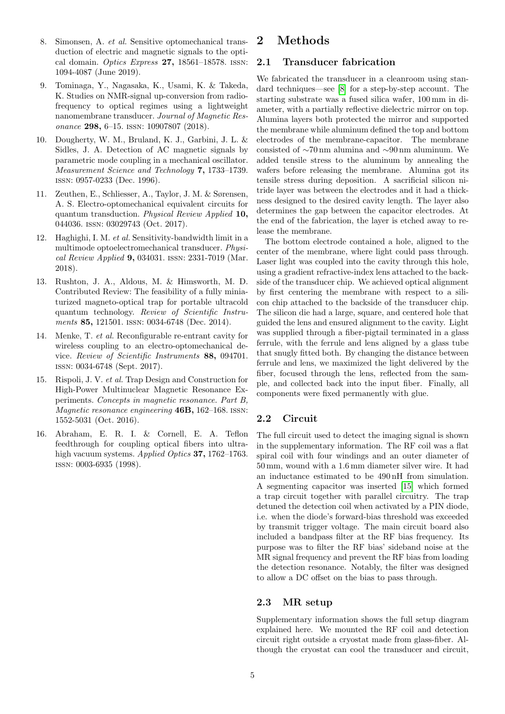- <span id="page-4-0"></span>8. Simonsen, A. et al. Sensitive optomechanical transduction of electric and magnetic signals to the optical domain. Optics Express  $27$ , 18561-18578. ISSN: 1094-4087 (June 2019).
- <span id="page-4-1"></span>9. Tominaga, Y., Nagasaka, K., Usami, K. & Takeda, K. Studies on NMR-signal up-conversion from radiofrequency to optical regimes using a lightweight nanomembrane transducer. Journal of Magnetic Resonance 298, 6–15. issn: 10907807 (2018).
- <span id="page-4-2"></span>10. Dougherty, W. M., Bruland, K. J., Garbini, J. L. & Sidles, J. A. Detection of AC magnetic signals by parametric mode coupling in a mechanical oscillator. Measurement Science and Technology 7, 1733–1739. issn: 0957-0233 (Dec. 1996).
- <span id="page-4-3"></span>11. Zeuthen, E., Schliesser, A., Taylor, J. M. & Sørensen, A. S. Electro-optomechanical equivalent circuits for quantum transduction. Physical Review Applied 10, 044036. issn: 03029743 (Oct. 2017).
- <span id="page-4-4"></span>12. Haghighi, I. M. et al. Sensitivity-bandwidth limit in a multimode optoelectromechanical transducer. Physical Review Applied 9, 034031. issn: 2331-7019 (Mar. 2018).
- <span id="page-4-5"></span>13. Rushton, J. A., Aldous, M. & Himsworth, M. D. Contributed Review: The feasibility of a fully miniaturized magneto-optical trap for portable ultracold quantum technology. Review of Scientific Instruments 85, 121501. ISSN: 0034-6748 (Dec. 2014).
- <span id="page-4-6"></span>14. Menke, T. et al. Reconfigurable re-entrant cavity for wireless coupling to an electro-optomechanical device. Review of Scientific Instruments 88, 094701. issn: 0034-6748 (Sept. 2017).
- <span id="page-4-7"></span>15. Rispoli, J. V. et al. Trap Design and Construction for High-Power Multinuclear Magnetic Resonance Experiments. Concepts in magnetic resonance. Part B, Magnetic resonance engineering 46B, 162–168. issn: 1552-5031 (Oct. 2016).
- <span id="page-4-8"></span>16. Abraham, E. R. I. & Cornell, E. A. Teflon feedthrough for coupling optical fibers into ultrahigh vacuum systems. Applied Optics **37,** 1762–1763. issn: 0003-6935 (1998).

# 2 Methods

### 2.1 Transducer fabrication

We fabricated the transducer in a cleanroom using standard techniques—see [\[8\]](#page-4-0) for a step-by-step account. The starting substrate was a fused silica wafer, 100 mm in diameter, with a partially reflective dielectric mirror on top. Alumina layers both protected the mirror and supported the membrane while aluminum defined the top and bottom electrodes of the membrane-capacitor. The membrane consisted of ∼70 nm alumina and ∼90 nm aluminum. We added tensile stress to the aluminum by annealing the wafers before releasing the membrane. Alumina got its tensile stress during deposition. A sacrificial silicon nitride layer was between the electrodes and it had a thickness designed to the desired cavity length. The layer also determines the gap between the capacitor electrodes. At the end of the fabrication, the layer is etched away to release the membrane.

The bottom electrode contained a hole, aligned to the center of the membrane, where light could pass through. Laser light was coupled into the cavity through this hole, using a gradient refractive-index lens attached to the backside of the transducer chip. We achieved optical alignment by first centering the membrane with respect to a silicon chip attached to the backside of the transducer chip. The silicon die had a large, square, and centered hole that guided the lens and ensured alignment to the cavity. Light was supplied through a fiber-pigtail terminated in a glass ferrule, with the ferrule and lens aligned by a glass tube that snugly fitted both. By changing the distance between ferrule and lens, we maximized the light delivered by the fiber, focused through the lens, reflected from the sample, and collected back into the input fiber. Finally, all components were fixed permanently with glue.

### 2.2 Circuit

The full circuit used to detect the imaging signal is shown in the supplementary information. The RF coil was a flat spiral coil with four windings and an outer diameter of 50 mm, wound with a 1.6 mm diameter silver wire. It had an inductance estimated to be 490 nH from simulation. A segmenting capacitor was inserted [\[15\]](#page-4-7) which formed a trap circuit together with parallel circuitry. The trap detuned the detection coil when activated by a PIN diode, i.e. when the diode's forward-bias threshold was exceeded by transmit trigger voltage. The main circuit board also included a bandpass filter at the RF bias frequency. Its purpose was to filter the RF bias' sideband noise at the MR signal frequency and prevent the RF bias from loading the detection resonance. Notably, the filter was designed to allow a DC offset on the bias to pass through.

### 2.3 MR setup

Supplementary information shows the full setup diagram explained here. We mounted the RF coil and detection circuit right outside a cryostat made from glass-fiber. Although the cryostat can cool the transducer and circuit,